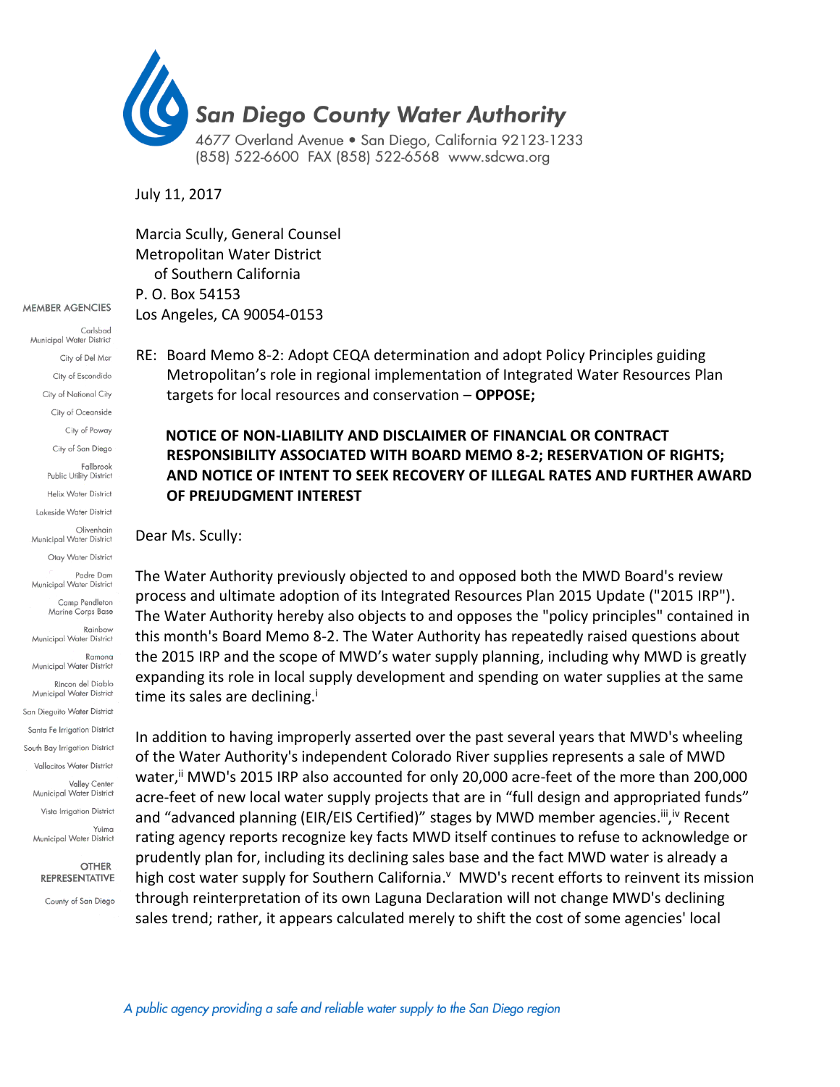

July 11, 2017

Marcia Scully, General Counsel Metropolitan Water District of Southern California P. O. Box 54153 Los Angeles, CA 90054‐0153

Carlsbad Municipal Water District City of Del Mar City of Escondido City of National City City of Oceanside City of Poway City of San Diego Fallbrook Public Utility District Helix Water District Lakeside Water District Olivenhain Municipal Water District Otay Water District Padre Dam Municipal Water District Camp Pendleton Marine Corps Base Rainhow Municipal Water District Ramona Municipal Water District Rincon del Diablo Municipal Water District San Dieguito Water District Santa Fe Irrigation District South Bay Irrigation District Vallecitos Water District .<br>Valley Center Municipal Water District Vista Irrigation District Yuima Municipal Water District

**MEMBER AGENCIES** 

**OTHER REPRESENTATIVE** County of San Diego RE: Board Memo 8-2: Adopt CEQA determination and adopt Policy Principles guiding Metropolitan's role in regional implementation of Integrated Water Resources Plan targets for local resources and conservation – **OPPOSE;** 

## **NOTICE OF NON-LIABILITY AND DISCLAIMER OF FINANCIAL OR CONTRACT RESPONSIBILITY ASSOCIATED WITH BOARD MEMO 8-2; RESERVATION OF RIGHTS; AND NOTICE OF INTENT TO SEEK RECOVERY OF ILLEGAL RATES AND FURTHER AWARD OF PREJUDGMENT INTEREST**

Dear Ms. Scully:

The Water Authority previously objected to and opposed both the MWD Board's review process and ultimate adoption of its Integrated Resources Plan 2015 Update ("2015 IRP"). The Water Authority hereby also objects to and opposes the "policy principles" contained in this month's Board Memo 8-2. The Water Authority has repeatedly raised questions about the 2015 IRP and the scope of MWD's water supply planning, including why MWD is greatly expanding its role in local supply development and spending on water supplies at the same time its sales are declining.<sup>i</sup>

In addition to having improperly asserted over the past several years that MWD's wheeling of the Water Authority's independent Colorado River supplies represents a sale of MWD water,<sup>ii</sup> MWD's 2015 IRP also accounted for only 20,000 acre-feet of the more than 200,000 acre-feet of new local water supply projects that are in "full design and appropriated funds" and "advanced planning (EIR/EIS Certified)" stages by MWD member agencies.<sup>iii</sup>,<sup>iv</sup> Recent rating agency reports recognize key facts MWD itself continues to refuse to acknowledge or prudently plan for, including its declining sales base and the fact MWD water is already a high cost water supply for Southern California.<sup>v</sup> MWD's recent efforts to reinvent its mission through reinterpretation of its own Laguna Declaration will not change MWD's declining sales trend; rather, it appears calculated merely to shift the cost of some agencies' local